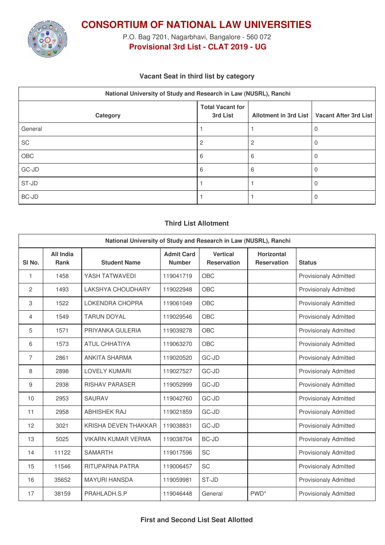

**CONSORTIUM OF NATIONAL LAW UNIVERSITIES**

P.O. Bag 7201, Nagarbhavi, Bangalore - 560 072 **Provisional 3rd List - CLAT 2019 - UG**

## **Vacant Seat in third list by category**

| National University of Study and Research in Law (NUSRL), Ranchi |                                     |   |                                               |  |  |  |
|------------------------------------------------------------------|-------------------------------------|---|-----------------------------------------------|--|--|--|
| Category                                                         | <b>Total Vacant for</b><br>3rd List |   | Allotment in 3rd List   Vacant After 3rd List |  |  |  |
| General                                                          |                                     |   |                                               |  |  |  |
| SC                                                               | 2                                   |   |                                               |  |  |  |
| OBC                                                              | 6                                   | 6 |                                               |  |  |  |
| $GC-JD$                                                          | 6                                   | 6 |                                               |  |  |  |
| ST-JD                                                            |                                     |   |                                               |  |  |  |
| $BC-JD$                                                          |                                     |   |                                               |  |  |  |

# **Third List Allotment**

| National University of Study and Research in Law (NUSRL), Ranchi |                                 |                           |                                    |                                       |                                  |                              |
|------------------------------------------------------------------|---------------------------------|---------------------------|------------------------------------|---------------------------------------|----------------------------------|------------------------------|
| SI <sub>No.</sub>                                                | <b>All India</b><br><b>Rank</b> | <b>Student Name</b>       | <b>Admit Card</b><br><b>Number</b> | <b>Vertical</b><br><b>Reservation</b> | Horizontal<br><b>Reservation</b> | <b>Status</b>                |
| 1                                                                | 1458                            | YASH TATWAVEDI            | 119041719                          | <b>OBC</b>                            |                                  | <b>Provisionaly Admitted</b> |
| 2                                                                | 1493                            | <b>LAKSHYA CHOUDHARY</b>  | 119022948                          | OBC                                   |                                  | <b>Provisionaly Admitted</b> |
| 3                                                                | 1522                            | <b>LOKENDRA CHOPRA</b>    | 119061049                          | OBC                                   |                                  | <b>Provisionaly Admitted</b> |
| 4                                                                | 1549                            | <b>TARUN DOYAL</b>        | 119029546                          | OBC                                   |                                  | <b>Provisionaly Admitted</b> |
| 5                                                                | 1571                            | PRIYANKA GULERIA          | 119039278                          | OBC                                   |                                  | <b>Provisionaly Admitted</b> |
| 6                                                                | 1573                            | <b>ATUL CHHATIYA</b>      | 119063270                          | OBC                                   |                                  | <b>Provisionaly Admitted</b> |
| $\overline{7}$                                                   | 2861                            | ANKITA SHARMA             | 119020520                          | GC-JD                                 |                                  | <b>Provisionaly Admitted</b> |
| 8                                                                | 2898                            | <b>LOVELY KUMARI</b>      | 119027527                          | GC-JD                                 |                                  | <b>Provisionaly Admitted</b> |
| 9                                                                | 2938                            | <b>RISHAV PARASER</b>     | 119052999                          | GC-JD                                 |                                  | <b>Provisionaly Admitted</b> |
| 10                                                               | 2953                            | <b>SAURAV</b>             | 119042760                          | GC-JD                                 |                                  | <b>Provisionaly Admitted</b> |
| 11                                                               | 2958                            | <b>ABHISHEK RAJ</b>       | 119021859                          | GC-JD                                 |                                  | <b>Provisionaly Admitted</b> |
| 12                                                               | 3021                            | KRISHA DEVEN THAKKAR      | 119038831                          | GC-JD                                 |                                  | <b>Provisionaly Admitted</b> |
| 13                                                               | 5025                            | <b>VIKARN KUMAR VERMA</b> | 119038704                          | <b>BC-JD</b>                          |                                  | <b>Provisionaly Admitted</b> |
| 14                                                               | 11122                           | <b>SAMARTH</b>            | 119017596                          | <b>SC</b>                             |                                  | <b>Provisionaly Admitted</b> |
| 15                                                               | 11546                           | RITUPARNA PATRA           | 119006457                          | SC                                    |                                  | <b>Provisionaly Admitted</b> |
| 16                                                               | 35652                           | <b>MAYURI HANSDA</b>      | 119059981                          | ST-JD                                 |                                  | <b>Provisionaly Admitted</b> |
| 17                                                               | 38159                           | PRAHLADH.S.P              | 119046448                          | General                               | PWD <sup>*</sup>                 | <b>Provisionaly Admitted</b> |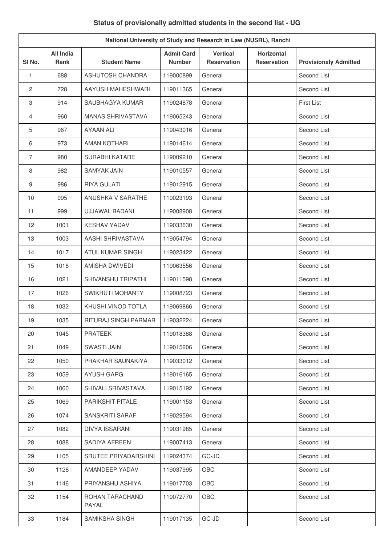# **Status of provisionally admitted students in the second list - UG**

| National University of Study and Research in Law (NUSRL), Ranchi |                                 |                           |                                    |                                       |                                         |                              |
|------------------------------------------------------------------|---------------------------------|---------------------------|------------------------------------|---------------------------------------|-----------------------------------------|------------------------------|
| SI <sub>No.</sub>                                                | <b>All India</b><br><b>Rank</b> | <b>Student Name</b>       | <b>Admit Card</b><br><b>Number</b> | <b>Vertical</b><br><b>Reservation</b> | <b>Horizontal</b><br><b>Reservation</b> | <b>Provisionaly Admitted</b> |
| $\mathbf{1}$                                                     | 688                             | <b>ASHUTOSH CHANDRA</b>   | 119000899                          | General                               |                                         | Second List                  |
| $\overline{c}$                                                   | 728                             | AAYUSH MAHESHWARI         | 119011365                          | General                               |                                         | Second List                  |
| 3                                                                | 914                             | SAUBHAGYA KUMAR           | 119024878                          | General                               |                                         | First List                   |
| 4                                                                | 960                             | <b>MANAS SHRIVASTAVA</b>  | 119065243                          | General                               |                                         | Second List                  |
| 5                                                                | 967                             | <b>AYAAN ALI</b>          | 119043016                          | General                               |                                         | Second List                  |
| 6                                                                | 973                             | <b>AMAN KOTHARI</b>       | 119014614                          | General                               |                                         | Second List                  |
| $\overline{7}$                                                   | 980                             | SURABHI KATARE            | 119009210                          | General                               |                                         | Second List                  |
| 8                                                                | 982                             | <b>SAMYAK JAIN</b>        | 119010557                          | General                               |                                         | Second List                  |
| 9                                                                | 986                             | <b>RIYA GULATI</b>        | 119012915                          | General                               |                                         | Second List                  |
| 10                                                               | 995                             | ANUSHKA V SARATHE         | 119023193                          | General                               |                                         | Second List                  |
| 11                                                               | 999                             | UJJAWAL BADANI            | 119008908                          | General                               |                                         | Second List                  |
| 12                                                               | 1001                            | <b>KESHAV YADAV</b>       | 119033630                          | General                               |                                         | Second List                  |
| 13                                                               | 1003                            | AASHI SHRIVASTAVA         | 119054794                          | General                               |                                         | Second List                  |
| 14                                                               | 1017                            | <b>ATUL KUMAR SINGH</b>   | 119023422                          | General                               |                                         | Second List                  |
| 15                                                               | 1018                            | AMISHA DWIVEDI            | 119063556                          | General                               |                                         | Second List                  |
| 16                                                               | 1021                            | <b>SHIVANSHU TRIPATHI</b> | 119011598                          | General                               |                                         | Second List                  |
| 17                                                               | 1026                            | <b>SWIKRUTI MOHANTY</b>   | 119008723                          | General                               |                                         | Second List                  |
| 18                                                               | 1032                            | KHUSHI VINOD TOTLA        | 119069866                          | General                               |                                         | Second List                  |
| 19                                                               | 1035                            | RITURAJ SINGH PARMAR      | 119032224                          | General                               |                                         | Second List                  |
| 20                                                               | 1045                            | <b>PRATEEK</b>            | 119018388                          | General                               |                                         | Second List                  |
| 21                                                               | 1049                            | <b>SWASTI JAIN</b>        | 119015206                          | General                               |                                         | Second List                  |
| 22                                                               | 1050                            | PRAKHAR SAUNAKIYA         | 119033012                          | General                               |                                         | Second List                  |
| 23                                                               | 1059                            | <b>AYUSH GARG</b>         | 119016165                          | General                               |                                         | Second List                  |
| 24                                                               | 1060                            | SHIVALI SRIVASTAVA        | 119015192                          | General                               |                                         | Second List                  |
| 25                                                               | 1069                            | PARIKSHIT PITALE          | 119001153                          | General                               |                                         | Second List                  |
| 26                                                               | 1074                            | SANSKRITI SARAF           | 119029594                          | General                               |                                         | Second List                  |
| 27                                                               | 1082                            | <b>DIVYA ISSARANI</b>     | 119031985                          | General                               |                                         | Second List                  |
| 28                                                               | 1088                            | SADIYA AFREEN             | 119007413                          | General                               |                                         | Second List                  |
| 29                                                               | 1105                            | SRUTEE PRIYADARSHINI      | 119024374                          | GC-JD                                 |                                         | Second List                  |
| 30                                                               | 1128                            | AMANDEEP YADAV            | 119037995                          | OBC                                   |                                         | Second List                  |
| 31                                                               | 1146                            | PRIYANSHU ASHIYA          | 119017703                          | OBC                                   |                                         | Second List                  |
| 32                                                               | 1154                            | ROHAN TARACHAND<br>PAYAL  | 119072770                          | OBC                                   |                                         | Second List                  |
| 33                                                               | 1184                            | SAMIKSHA SINGH            | 119017135                          | GC-JD                                 |                                         | Second List                  |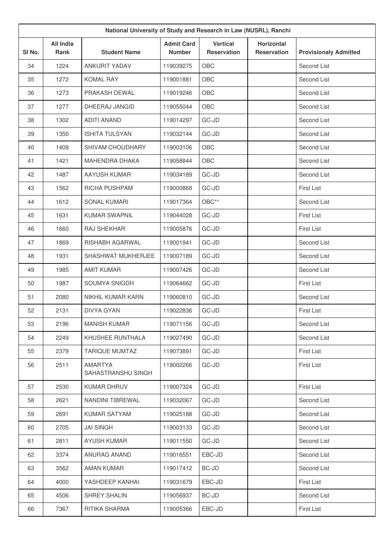| National University of Study and Research in Law (NUSRL), Ranchi |                                 |                                      |                                    |                                               |                                         |                              |
|------------------------------------------------------------------|---------------------------------|--------------------------------------|------------------------------------|-----------------------------------------------|-----------------------------------------|------------------------------|
| SI No.                                                           | <b>All India</b><br><b>Rank</b> | <b>Student Name</b>                  | <b>Admit Card</b><br><b>Number</b> | <b>Vertical</b><br><b>Reservation</b>         | <b>Horizontal</b><br><b>Reservation</b> | <b>Provisionaly Admitted</b> |
| 34                                                               | 1224                            | ANKURIT YADAV                        | 119039275                          | OBC                                           |                                         | Second List                  |
| 35                                                               | 1272                            | <b>KOMAL RAY</b>                     | 119001881                          | OBC                                           |                                         | Second List                  |
| 36                                                               | 1273                            | PRAKASH DEWAL                        | 119019246                          | OBC                                           |                                         | Second List                  |
| 37                                                               | 1277                            | DHEERAJ JANGID                       | 119055044                          | OBC                                           |                                         | Second List                  |
| 38                                                               | 1302                            | <b>ADITI ANAND</b>                   | 119014297                          | GC-JD                                         |                                         | Second List                  |
| 39                                                               | 1350                            | <b>ISHITA TULSYAN</b>                | 119032144                          | GC-JD                                         |                                         | Second List                  |
| 40                                                               | 1409                            | SHIVAM CHOUDHARY                     | 119003106                          | OBC                                           |                                         | Second List                  |
| 41                                                               | 1421                            | MAHENDRA DHAKA                       | 119058844                          | OBC                                           |                                         | Second List                  |
| 42                                                               | 1487                            | <b>AAYUSH KUMAR</b>                  | 119034189                          | GC-JD                                         |                                         | Second List                  |
| 43                                                               | 1562                            | RICHA PUSHPAM                        | 119000868                          | GC-JD                                         |                                         | <b>First List</b>            |
| 44                                                               | 1612                            | <b>SONAL KUMARI</b>                  | 119017364                          | $\mathsf{O}\mathsf{B}\mathsf{C}^{\star\star}$ |                                         | Second List                  |
| 45                                                               | 1631                            | <b>KUMAR SWAPNIL</b>                 | 119044028                          | GC-JD                                         |                                         | <b>First List</b>            |
| 46                                                               | 1660                            | RAJ SHEKHAR                          | 119005876                          | GC-JD                                         |                                         | <b>First List</b>            |
| 47                                                               | 1869                            | RISHABH AGARWAL                      | 119001941                          | GC-JD                                         |                                         | Second List                  |
| 48                                                               | 1931                            | SHASHWAT MUKHERJEE                   | 119007189                          | GC-JD                                         |                                         | Second List                  |
| 49                                                               | 1985                            | <b>AMIT KUMAR</b>                    | 119007426                          | GC-JD                                         |                                         | Second List                  |
| 50                                                               | 1987                            | SOUMYA SNIGDH                        | 119064662                          | GC-JD                                         |                                         | First List                   |
| 51                                                               | 2080                            | NIKHIL KUMAR KARN                    | 119060810                          | GC-JD                                         |                                         | Second List                  |
| 52                                                               | 2131                            | <b>DIVYA GYAN</b>                    | 119022836                          | GC-JD                                         |                                         | <b>First List</b>            |
| 53                                                               | 2196                            | <b>MANISH KUMAR</b>                  | 119071156                          | GC-JD                                         |                                         | Second List                  |
| 54                                                               | 2249                            | KHUSHEE RUNTHALA                     | 119027490                          | GC-JD                                         |                                         | Second List                  |
| 55                                                               | 2379                            | <b>TARIQUE MUMTAZ</b>                | 119073891                          | GC-JD                                         |                                         | <b>First List</b>            |
| 56                                                               | 2511                            | <b>AMARTYA</b><br>SAHASTRANSHU SINGH | 119002266                          | GC-JD                                         |                                         | First List                   |
| 57                                                               | 2530                            | <b>KUMAR DHRUV</b>                   | 119007324                          | GC-JD                                         |                                         | <b>First List</b>            |
| 58                                                               | 2621                            | NANDINI TIBREWAL                     | 119032067                          | GC-JD                                         |                                         | Second List                  |
| 59                                                               | 2691                            | <b>KUMAR SATYAM</b>                  | 119025188                          | GC-JD                                         |                                         | Second List                  |
| 60                                                               | 2705                            | <b>JAI SINGH</b>                     | 119003133                          | GC-JD                                         |                                         | Second List                  |
| 61                                                               | 2811                            | <b>AYUSH KUMAR</b>                   | 119011550                          | GC-JD                                         |                                         | Second List                  |
| 62                                                               | 3374                            | ANURAG ANAND                         | 119016551                          | EBC-JD                                        |                                         | Second List                  |
| 63                                                               | 3562                            | AMAN KUMAR                           | 119017412                          | BC-JD                                         |                                         | Second List                  |
| 64                                                               | 4000                            | YASHDEEP KANHAI                      | 119031679                          | EBC-JD                                        |                                         | <b>First List</b>            |
| 65                                                               | 4506                            | SHREY SHALIN                         | 119056937                          | BC-JD                                         |                                         | Second List                  |
| 66                                                               | 7367                            | RITIKA SHARMA                        | 119005366                          | EBC-JD                                        |                                         | First List                   |
|                                                                  |                                 |                                      |                                    |                                               |                                         |                              |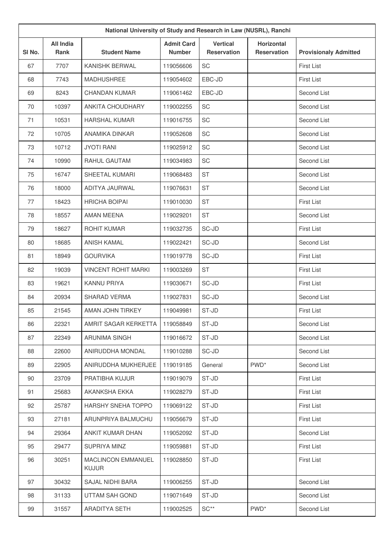| National University of Study and Research in Law (NUSRL), Ranchi |                          |                                           |                                    |                                       |                                         |                              |
|------------------------------------------------------------------|--------------------------|-------------------------------------------|------------------------------------|---------------------------------------|-----------------------------------------|------------------------------|
| SI No.                                                           | <b>All India</b><br>Rank | <b>Student Name</b>                       | <b>Admit Card</b><br><b>Number</b> | <b>Vertical</b><br><b>Reservation</b> | <b>Horizontal</b><br><b>Reservation</b> | <b>Provisionaly Admitted</b> |
| 67                                                               | 7707                     | KANISHK BERWAL                            | 119056606                          | <b>SC</b>                             |                                         | <b>First List</b>            |
| 68                                                               | 7743                     | <b>MADHUSHREE</b>                         | 119054602                          | EBC-JD                                |                                         | <b>First List</b>            |
| 69                                                               | 8243                     | CHANDAN KUMAR                             | 119061462                          | EBC-JD                                |                                         | Second List                  |
| 70                                                               | 10397                    | <b>ANKITA CHOUDHARY</b>                   | 119002255                          | SC                                    |                                         | Second List                  |
| 71                                                               | 10531                    | <b>HARSHAL KUMAR</b>                      | 119016755                          | <b>SC</b>                             |                                         | Second List                  |
| 72                                                               | 10705                    | ANAMIKA DINKAR                            | 119052608                          | <b>SC</b>                             |                                         | Second List                  |
| 73                                                               | 10712                    | <b>JYOTI RANI</b>                         | 119025912                          | SC                                    |                                         | Second List                  |
| 74                                                               | 10990                    | RAHUL GAUTAM                              | 119034983                          | SC                                    |                                         | Second List                  |
| 75                                                               | 16747                    | SHEETAL KUMARI                            | 119068483                          | <b>ST</b>                             |                                         | Second List                  |
| 76                                                               | 18000                    | ADITYA JAURWAL                            | 119076631                          | <b>ST</b>                             |                                         | Second List                  |
| 77                                                               | 18423                    | <b>HRICHA BOIPAI</b>                      | 119010030                          | <b>ST</b>                             |                                         | <b>First List</b>            |
| 78                                                               | 18557                    | AMAN MEENA                                | 119029201                          | <b>ST</b>                             |                                         | Second List                  |
| 79                                                               | 18627                    | ROHIT KUMAR                               | 119032735                          | SC-JD                                 |                                         | <b>First List</b>            |
| 80                                                               | 18685                    | <b>ANISH KAMAL</b>                        | 119022421                          | SC-JD                                 |                                         | Second List                  |
| 81                                                               | 18949                    | <b>GOURVIKA</b>                           | 119019778                          | SC-JD                                 |                                         | <b>First List</b>            |
| 82                                                               | 19039                    | <b>VINCENT ROHIT MARKI</b>                | 119003269                          | <b>ST</b>                             |                                         | <b>First List</b>            |
| 83                                                               | 19621                    | <b>KANNU PRIYA</b>                        | 119030671                          | SC-JD                                 |                                         | <b>First List</b>            |
| 84                                                               | 20934                    | <b>SHARAD VERMA</b>                       | 119027831                          | SC-JD                                 |                                         | Second List                  |
| 85                                                               | 21545                    | AMAN JOHN TIRKEY                          | 119049981                          | ST-JD                                 |                                         | <b>First List</b>            |
| 86                                                               | 22321                    | AMRIT SAGAR KERKETTA                      | 119058849                          | ST-JD                                 |                                         | Second List                  |
| 87                                                               | 22349                    | ARUNIMA SINGH                             | 119016672                          | ST-JD                                 |                                         | Second List                  |
| 88                                                               | 22600                    | ANIRUDDHA MONDAL                          | 119010288                          | SC-JD                                 |                                         | Second List                  |
| 89                                                               | 22905                    | ANIRUDDHA MUKHERJEE                       | 119019185                          | General                               | PWD <sup>*</sup>                        | Second List                  |
| 90                                                               | 23709                    | PRATIBHA KUJUR                            | 119019079                          | ST-JD                                 |                                         | <b>First List</b>            |
| 91                                                               | 25683                    | AKANKSHA EKKA                             | 119028279                          | ST-JD                                 |                                         | First List                   |
| 92                                                               | 25787                    | HARSHY SNEHA TOPPO                        | 119069122                          | ST-JD                                 |                                         | First List                   |
| 93                                                               | 27181                    | ARUNPRIYA BALMUCHU                        | 119056679                          | ST-JD                                 |                                         | First List                   |
| 94                                                               | 29364                    | ANKIT KUMAR DHAN                          | 119052092                          | ST-JD                                 |                                         | Second List                  |
| 95                                                               | 29477                    | SUPRIYA MINZ                              | 119059881                          | ST-JD                                 |                                         | First List                   |
| 96                                                               | 30251                    | <b>MACLINCON EMMANUEL</b><br><b>KUJUR</b> | 119028850                          | ST-JD                                 |                                         | First List                   |
| 97                                                               | 30432                    | SAJAL NIDHI BARA                          | 119006255                          | ST-JD                                 |                                         | Second List                  |
| 98                                                               | 31133                    | UTTAM SAH GOND                            | 119071649                          | ST-JD                                 |                                         | Second List                  |
| 99                                                               | 31557                    | ARADITYA SETH                             | 119002525                          | $SC**$                                | PWD <sup>*</sup>                        | Second List                  |